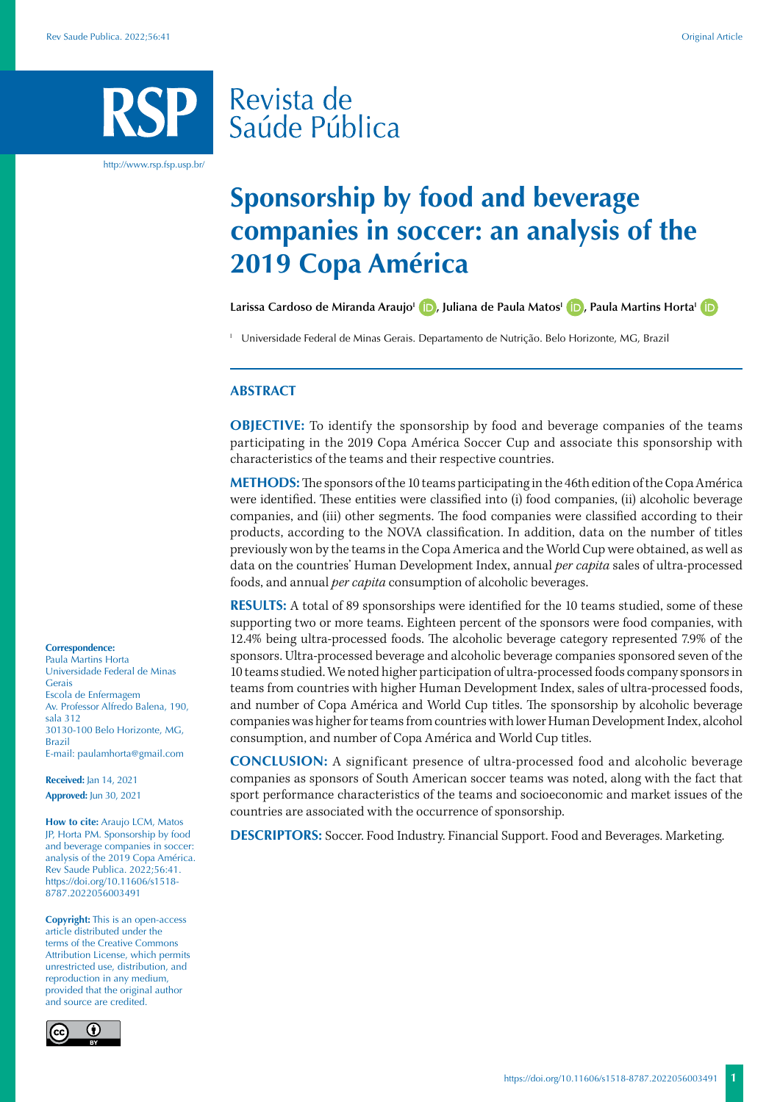# Revista de Saúde Pública

http://www.rsp.fsp.usp.br/

# **Sponsorship by food and beverage companies in soccer: an analysis of the 2019 Copa América**

Larissa Cardoso de Miranda Araujo<sup>1</sup> **D**[,](https://orcid.org/0000-0002-1424-8344) Juliana de Paula Matos<sup>1</sup> **D**, Paula Martins Horta<sup>1</sup> **D** 

<sup>1</sup> Universidade Federal de Minas Gerais. Departamento de Nutrição. Belo Horizonte, MG, Brazil

#### **ABSTRACT**

**OBJECTIVE:** To identify the sponsorship by food and beverage companies of the teams participating in the 2019 Copa América Soccer Cup and associate this sponsorship with characteristics of the teams and their respective countries.

**METHODS:** The sponsors of the 10 teams participating in the 46th edition of the Copa América were identified. These entities were classified into (i) food companies, (ii) alcoholic beverage companies, and (iii) other segments. The food companies were classified according to their products, according to the NOVA classification. In addition, data on the number of titles previously won by the teams in the Copa America and the World Cup were obtained, as well as data on the countries' Human Development Index, annual *per capita* sales of ultra-processed foods, and annual *per capita* consumption of alcoholic beverages.

**RESULTS:** A total of 89 sponsorships were identified for the 10 teams studied, some of these supporting two or more teams. Eighteen percent of the sponsors were food companies, with 12.4% being ultra-processed foods. The alcoholic beverage category represented 7.9% of the sponsors. Ultra-processed beverage and alcoholic beverage companies sponsored seven of the 10 teams studied. We noted higher participation of ultra-processed foods company sponsors in teams from countries with higher Human Development Index, sales of ultra-processed foods, and number of Copa América and World Cup titles. The sponsorship by alcoholic beverage companies was higher for teams from countries with lower Human Development Index, alcohol consumption, and number of Copa América and World Cup titles.

**CONCLUSION:** A significant presence of ultra-processed food and alcoholic beverage companies as sponsors of South American soccer teams was noted, along with the fact that sport performance characteristics of the teams and socioeconomic and market issues of the countries are associated with the occurrence of sponsorship.

**DESCRIPTORS:** Soccer. Food Industry. Financial Support. Food and Beverages. Marketing.

#### **Correspondence:**

Paula Martins Horta Universidade Federal de Minas Gerais Escola de Enfermagem Av. Professor Alfredo Balena, 190, sala 312 30130-100 Belo Horizonte, MG, Brazil E-mail: paulamhorta@gmail.com

**Received:** Jan 14, 2021 **Approved:** Jun 30, 2021

**How to cite:** Araujo LCM, Matos JP, Horta PM. Sponsorship by food and beverage companies in soccer: analysis of the 2019 Copa América. Rev Saude Publica. 2022;56:41. https://doi.org/10.11606/s1518- 8787.2022056003491

**Copyright:** This is an open-access article distributed under the terms of the Creative Commons Attribution License, which permits unrestricted use, distribution, and reproduction in any medium, provided that the original author and source are credited.

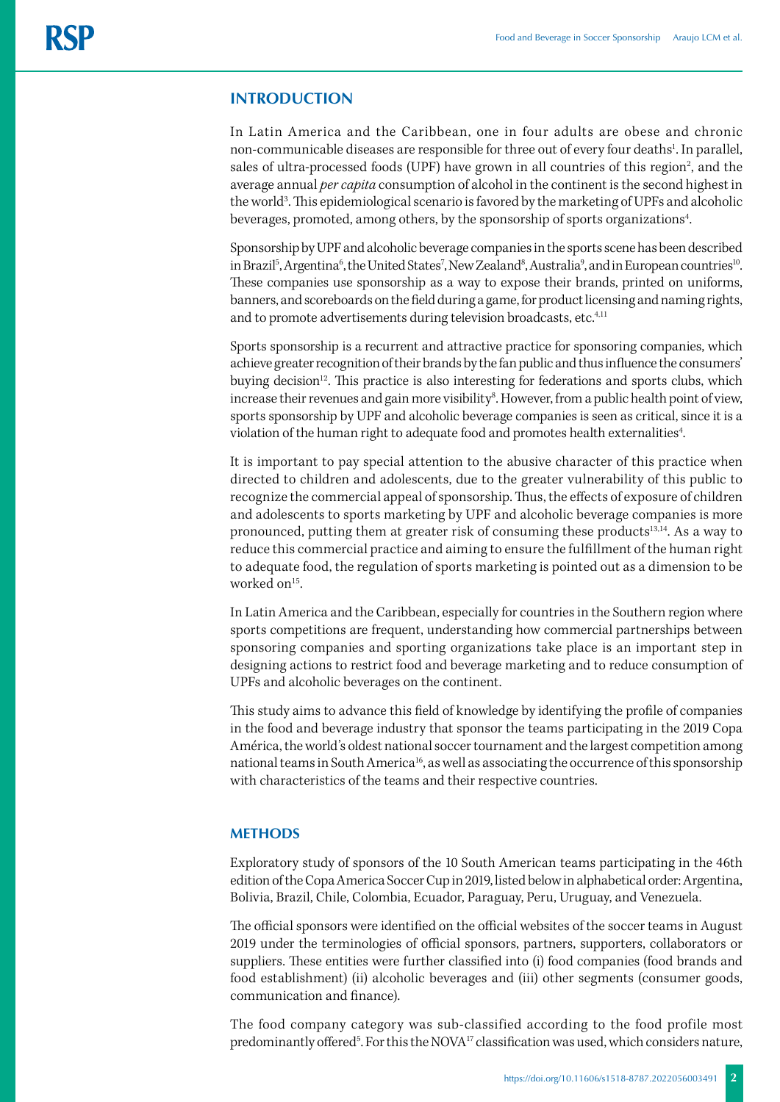# **INTRODUCTION**

In Latin America and the Caribbean, one in four adults are obese and chronic non-communicable diseases are responsible for three out of every four deaths<sup>1</sup>. In parallel, sales of ultra-processed foods (UPF) have grown in all countries of this region<sup>2</sup>, and the average annual *per capita* consumption of alcohol in the continent is the second highest in the world<sup>3</sup>. This epidemiological scenario is favored by the marketing of UPFs and alcoholic beverages, promoted, among others, by the sponsorship of sports organizations<sup>4</sup>. .

Sponsorship by UPF and alcoholic beverage companies in the sports scene has been described in Brazil<sup>5</sup>, Argentina<sup>6</sup>, the United States<sup>7</sup>, New Zealand<sup>8</sup>, Australia<sup>9</sup>, and in European countries<sup>10</sup>. These companies use sponsorship as a way to expose their brands, printed on uniforms, banners, and scoreboards on the field during a game, for product licensing and naming rights, and to promote advertisements during television broadcasts, etc.<sup>4,11</sup>

Sports sponsorship is a recurrent and attractive practice for sponsoring companies, which achieve greater recognition of their brands by the fan public and thus influence the consumers' buying decision<sup>12</sup>. This practice is also interesting for federations and sports clubs, which increase their revenues and gain more visibility<sup>s</sup>. However, from a public health point of view, sports sponsorship by UPF and alcoholic beverage companies is seen as critical, since it is a violation of the human right to adequate food and promotes health externalities<sup>4</sup>. .

It is important to pay special attention to the abusive character of this practice when directed to children and adolescents, due to the greater vulnerability of this public to recognize the commercial appeal of sponsorship. Thus, the effects of exposure of children and adolescents to sports marketing by UPF and alcoholic beverage companies is more pronounced, putting them at greater risk of consuming these products<sup>13,14</sup>. As a way to reduce this commercial practice and aiming to ensure the fulfillment of the human right to adequate food, the regulation of sports marketing is pointed out as a dimension to be worked on<sup>15</sup>.

In Latin America and the Caribbean, especially for countries in the Southern region where sports competitions are frequent, understanding how commercial partnerships between sponsoring companies and sporting organizations take place is an important step in designing actions to restrict food and beverage marketing and to reduce consumption of UPFs and alcoholic beverages on the continent.

This study aims to advance this field of knowledge by identifying the profile of companies in the food and beverage industry that sponsor the teams participating in the 2019 Copa América, the world's oldest national soccer tournament and the largest competition among national teams in South America<sup>16</sup>, as well as associating the occurrence of this sponsorship with characteristics of the teams and their respective countries.

### **METHODS**

Exploratory study of sponsors of the 10 South American teams participating in the 46th edition of the Copa America Soccer Cup in 2019, listed below in alphabetical order: Argentina, Bolivia, Brazil, Chile, Colombia, Ecuador, Paraguay, Peru, Uruguay, and Venezuela.

The official sponsors were identified on the official websites of the soccer teams in August 2019 under the terminologies of official sponsors, partners, supporters, collaborators or suppliers. These entities were further classified into (i) food companies (food brands and food establishment) (ii) alcoholic beverages and (iii) other segments (consumer goods, communication and finance).

The food company category was sub-classified according to the food profile most predominantly offered<sup>5</sup>. For this the NOVA<sup>17</sup> classification was used, which considers nature,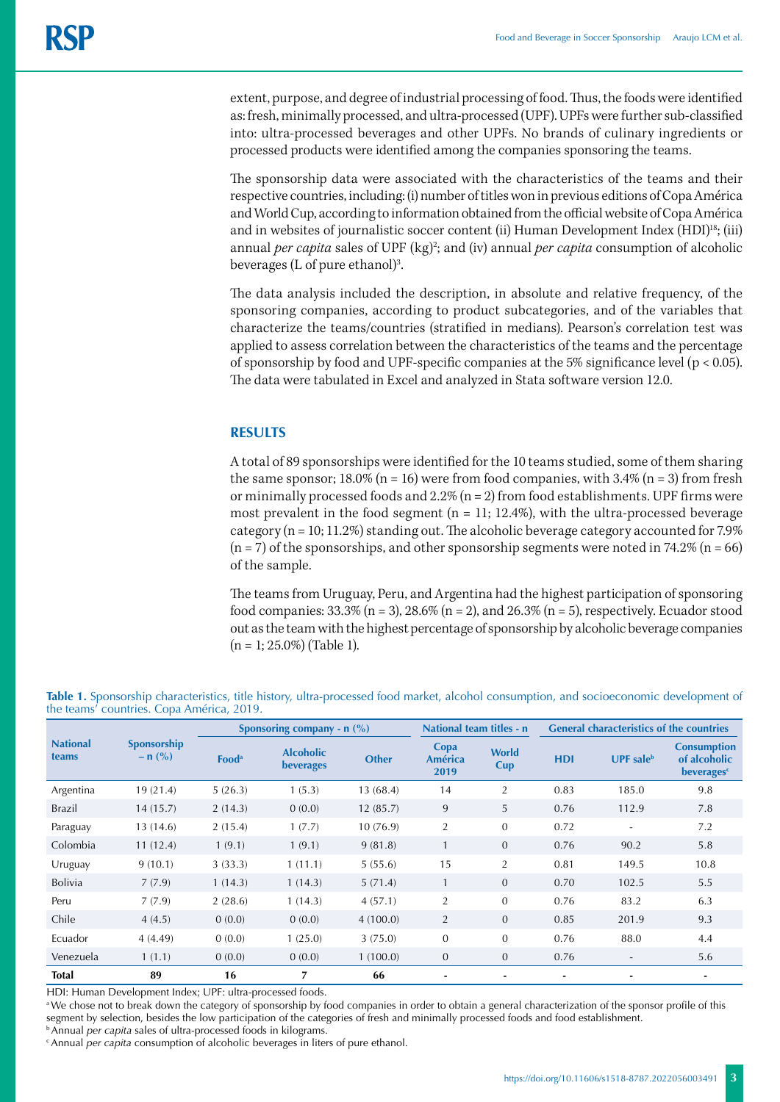extent, purpose, and degree of industrial processing of food. Thus, the foods were identified as: fresh, minimally processed, and ultra-processed (UPF). UPFs were further sub-classified into: ultra-processed beverages and other UPFs. No brands of culinary ingredients or processed products were identified among the companies sponsoring the teams.

The sponsorship data were associated with the characteristics of the teams and their respective countries, including: (i) number of titles won in previous editions of Copa América and World Cup, according to information obtained from the official website of Copa América and in websites of journalistic soccer content (ii) Human Development Index  $(HDI)^{18}$ ; (iii) annual *per capita* sales of UPF (kg)<sup>2</sup>; and (iv) annual *per capita* consumption of alcoholic beverages (L of pure ethanol)<sup>3</sup>. .

The data analysis included the description, in absolute and relative frequency, of the sponsoring companies, according to product subcategories, and of the variables that characterize the teams/countries (stratified in medians). Pearson's correlation test was applied to assess correlation between the characteristics of the teams and the percentage of sponsorship by food and UPF-specific companies at the 5% significance level (p < 0.05). The data were tabulated in Excel and analyzed in Stata software version 12.0.

# **RESULTS**

A total of 89 sponsorships were identified for the 10 teams studied, some of them sharing the same sponsor;  $18.0\%$  (n = 16) were from food companies, with  $3.4\%$  (n = 3) from fresh or minimally processed foods and  $2.2\%$  (n = 2) from food establishments. UPF firms were most prevalent in the food segment  $(n = 11; 12.4\%)$ , with the ultra-processed beverage category ( $n = 10$ ; 11.2%) standing out. The alcoholic beverage category accounted for 7.9%  $(n = 7)$  of the sponsorships, and other sponsorship segments were noted in 74.2%  $(n = 66)$ of the sample.

The teams from Uruguay, Peru, and Argentina had the highest participation of sponsoring food companies:  $33.3\%$  (n = 3),  $28.6\%$  (n = 2), and  $26.3\%$  (n = 5), respectively. Ecuador stood out as the team with the highest percentage of sponsorship by alcoholic beverage companies  $(n = 1; 25.0\%)$  (Table 1).

**Table 1.** Sponsorship characteristics, title history, ultra-processed food market, alcohol consumption, and socioeconomic development of the teams' countries. Copa América, 2019.

|                          |                                 | Sponsoring company - $n$ (%) |                                      |              | National team titles - n       |                     | <b>General characteristics of the countries</b> |                          |                                                                     |
|--------------------------|---------------------------------|------------------------------|--------------------------------------|--------------|--------------------------------|---------------------|-------------------------------------------------|--------------------------|---------------------------------------------------------------------|
| <b>National</b><br>teams | <b>Sponsorship</b><br>$- n (%)$ | <b>Food</b> <sup>a</sup>     | <b>Alcoholic</b><br><b>beverages</b> | <b>Other</b> | Copa<br><b>América</b><br>2019 | <b>World</b><br>Cup | <b>HDI</b>                                      | $UPF$ sale <sup>b</sup>  | <b>Consumption</b><br>of alcoholic<br><b>beverages</b> <sup>c</sup> |
| Argentina                | 19 (21.4)                       | 5(26.3)                      | 1(5.3)                               | 13(68.4)     | 14                             | 2                   | 0.83                                            | 185.0                    | 9.8                                                                 |
| Brazil                   | 14(15.7)                        | 2(14.3)                      | 0(0.0)                               | 12(85.7)     | 9                              | 5                   | 0.76                                            | 112.9                    | 7.8                                                                 |
| Paraguay                 | 13(14.6)                        | 2(15.4)                      | 1(7.7)                               | 10(76.9)     | $\overline{2}$                 | $\overline{0}$      | 0.72                                            | $\overline{\phantom{a}}$ | 7.2                                                                 |
| Colombia                 | 11(12.4)                        | 1(9.1)                       | 1(9.1)                               | 9(81.8)      |                                | $\overline{0}$      | 0.76                                            | 90.2                     | 5.8                                                                 |
| Uruguay                  | 9(10.1)                         | 3(33.3)                      | 1(11.1)                              | 5(55.6)      | 15                             | $\overline{2}$      | 0.81                                            | 149.5                    | 10.8                                                                |
| <b>Bolivia</b>           | 7(7.9)                          | 1(14.3)                      | 1(14.3)                              | 5(71.4)      | $\mathbf{1}$                   | $\overline{0}$      | 0.70                                            | 102.5                    | 5.5                                                                 |
| Peru                     | 7(7.9)                          | 2(28.6)                      | 1(14.3)                              | 4(57.1)      | $\overline{2}$                 | $\overline{0}$      | 0.76                                            | 83.2                     | 6.3                                                                 |
| Chile                    | 4(4.5)                          | 0(0.0)                       | 0(0.0)                               | 4(100.0)     | 2                              | $\overline{0}$      | 0.85                                            | 201.9                    | 9.3                                                                 |
| Ecuador                  | 4(4.49)                         | 0(0.0)                       | 1(25.0)                              | 3(75.0)      | $\theta$                       | $\overline{0}$      | 0.76                                            | 88.0                     | 4.4                                                                 |
| Venezuela                | 1(1.1)                          | 0(0.0)                       | 0(0.0)                               | 1(100.0)     | $\boldsymbol{0}$               | $\overline{0}$      | 0.76                                            | $\overline{\phantom{a}}$ | 5.6                                                                 |
| <b>Total</b>             | 89                              | 16                           | 7                                    | 66           |                                |                     | $\blacksquare$                                  |                          |                                                                     |

HDI: Human Development Index; UPF: ultra-processed foods.

<sup>a</sup> We chose not to break down the category of sponsorship by food companies in order to obtain a general characterization of the sponsor profile of this segment by selection, besides the low participation of the categories of fresh and minimally processed foods and food establishment.

<sup>b</sup> Annual *per capita* sales of ultra-processed foods in kilograms.<br><sup>c</sup> Annual *per capita* consumption of alcoholic beverages in liters of pure ethanol.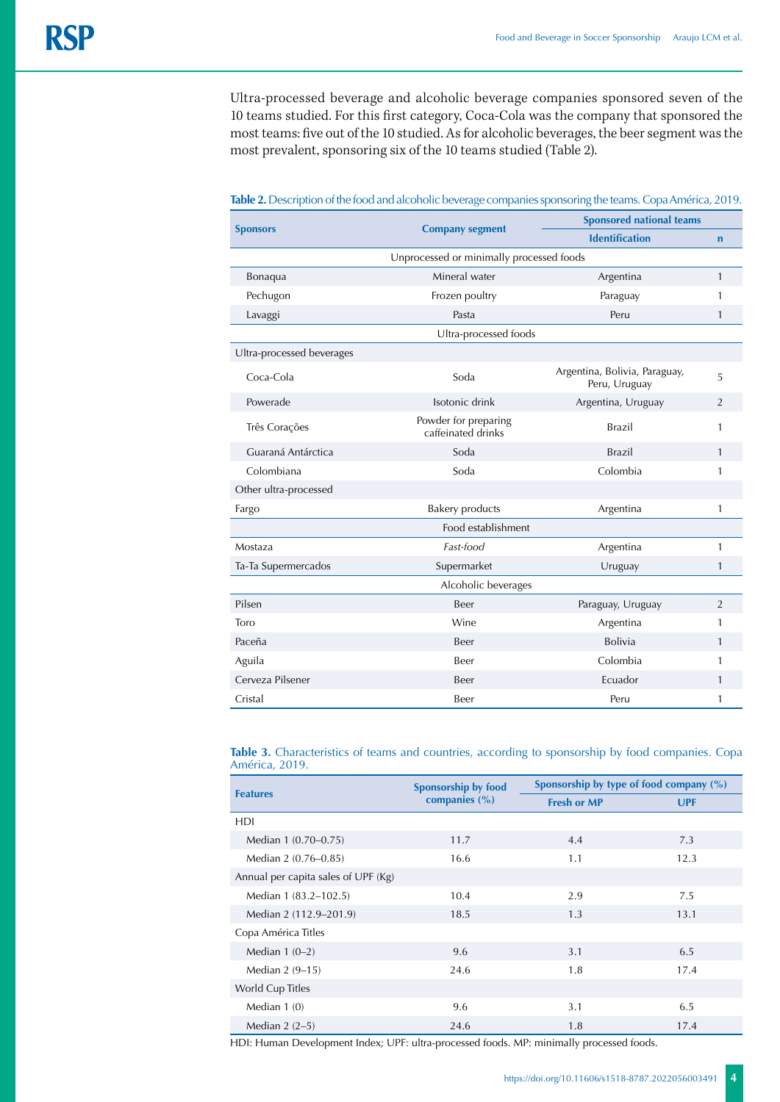Ultra-processed beverage and alcoholic beverage companies sponsored seven of the 10 teams studied. For this first category, Coca-Cola was the company that sponsored the most teams: five out of the 10 studied. As for alcoholic beverages, the beer segment was the most prevalent, sponsoring six of the 10 teams studied (Table 2).

|                                          |                                            | <b>Sponsored national teams</b>                |                |  |  |  |
|------------------------------------------|--------------------------------------------|------------------------------------------------|----------------|--|--|--|
| <b>Sponsors</b>                          | <b>Company segment</b>                     | <b>Identification</b>                          | $\mathbf n$    |  |  |  |
| Unprocessed or minimally processed foods |                                            |                                                |                |  |  |  |
| Bonaqua                                  | Mineral water                              | Argentina                                      | $\mathbf{1}$   |  |  |  |
| Pechugon                                 | Frozen poultry                             | Paraguay                                       | 1              |  |  |  |
| Lavaggi                                  | Pasta                                      | Peru                                           | $\mathbf{1}$   |  |  |  |
|                                          | Ultra-processed foods                      |                                                |                |  |  |  |
| Ultra-processed beverages                |                                            |                                                |                |  |  |  |
| Coca-Cola                                | Soda                                       | Argentina, Bolivia, Paraguay,<br>Peru, Uruguay | 5              |  |  |  |
| Powerade                                 | Isotonic drink                             | Argentina, Uruguay                             | $\overline{2}$ |  |  |  |
| Três Corações                            | Powder for preparing<br>caffeinated drinks | <b>Brazil</b>                                  | 1              |  |  |  |
| Guaraná Antárctica                       | Soda                                       | <b>Brazil</b>                                  | $\mathbf{1}$   |  |  |  |
| Colombiana                               | Soda                                       | Colombia                                       | 1              |  |  |  |
| Other ultra-processed                    |                                            |                                                |                |  |  |  |
| Fargo                                    | <b>Bakery products</b>                     | Argentina                                      | 1              |  |  |  |
|                                          | Food establishment                         |                                                |                |  |  |  |
| Mostaza                                  | Fast-food                                  | Argentina                                      | 1              |  |  |  |
| Ta-Ta Supermercados                      | Supermarket                                | Uruguay                                        | $\mathbf{1}$   |  |  |  |
| Alcoholic beverages                      |                                            |                                                |                |  |  |  |
| Pilsen                                   | Beer                                       | Paraguay, Uruguay                              | 2              |  |  |  |
| Toro                                     | Wine                                       | Argentina                                      | 1              |  |  |  |
| Paceña                                   | Beer                                       | <b>Bolivia</b>                                 | 1              |  |  |  |
| Aguila                                   | Beer                                       | Colombia                                       | 1              |  |  |  |
| Cerveza Pilsener                         | Beer                                       | Ecuador                                        | 1              |  |  |  |
| Cristal                                  | Beer                                       | Peru                                           | 1              |  |  |  |

**Table 2.** Description of the food and alcoholic beverage companies sponsoring the teams. Copa América, 2019.

**Table 3.** Characteristics of teams and countries, according to sponsorship by food companies. Copa América, 2019.

| <b>Features</b>                     | Sponsorship by food | Sponsorship by type of food company (%) |            |  |
|-------------------------------------|---------------------|-----------------------------------------|------------|--|
|                                     | companies (%)       | <b>Fresh or MP</b>                      | <b>UPF</b> |  |
| HDI                                 |                     |                                         |            |  |
| Median 1 (0.70–0.75)                | 11.7                | 4.4                                     | 7.3        |  |
| Median 2 (0.76-0.85)                | 16.6                | 1.1                                     | 12.3       |  |
| Annual per capita sales of UPF (Kg) |                     |                                         |            |  |
| Median 1 (83.2–102.5)               | 10.4                | 2.9                                     | 7.5        |  |
| Median 2 (112.9–201.9)              | 18.5                | 1.3                                     | 13.1       |  |
| Copa América Titles                 |                     |                                         |            |  |
| Median $1(0-2)$                     | 9.6                 | 3.1                                     | 6.5        |  |
| Median 2 (9-15)                     | 24.6                | 1.8                                     | 17.4       |  |
| World Cup Titles                    |                     |                                         |            |  |
| Median $1(0)$                       | 9.6                 | 3.1                                     | 6.5        |  |
| Median $2(2-5)$                     | 24.6                | 1.8                                     | 17.4       |  |

HDI: Human Development Index; UPF: ultra-processed foods. MP: minimally processed foods.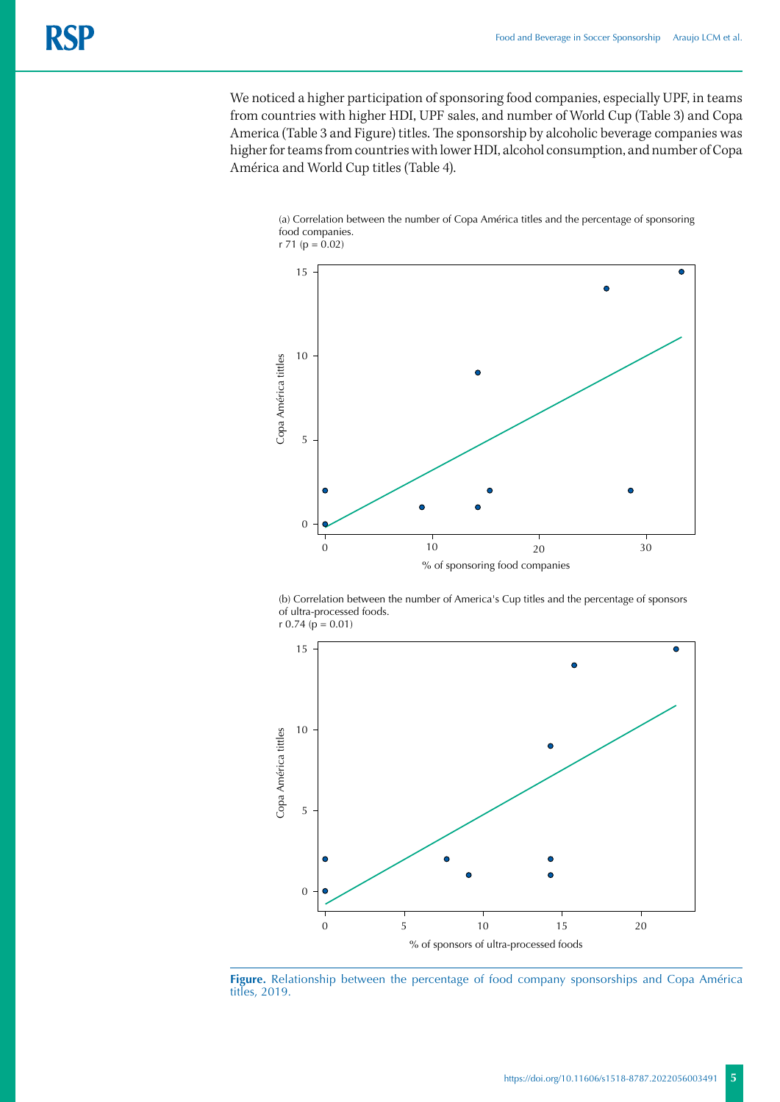We noticed a higher participation of sponsoring food companies, especially UPF, in teams from countries with higher HDI, UPF sales, and number of World Cup (Table 3) and Copa America (Table 3 and Figure) titles. The sponsorship by alcoholic beverage companies was higher for teams from countries with lower HDI, alcohol consumption, and number of Copa América and World Cup titles (Table 4).





(b) Correlation between the number of America's Cup titles and the percentage of sponsors of ultra-processed foods.  $r 0.74 (p = 0.01)$ 



**Figure.** Relationship between the percentage of food company sponsorships and Copa América titles, 2019.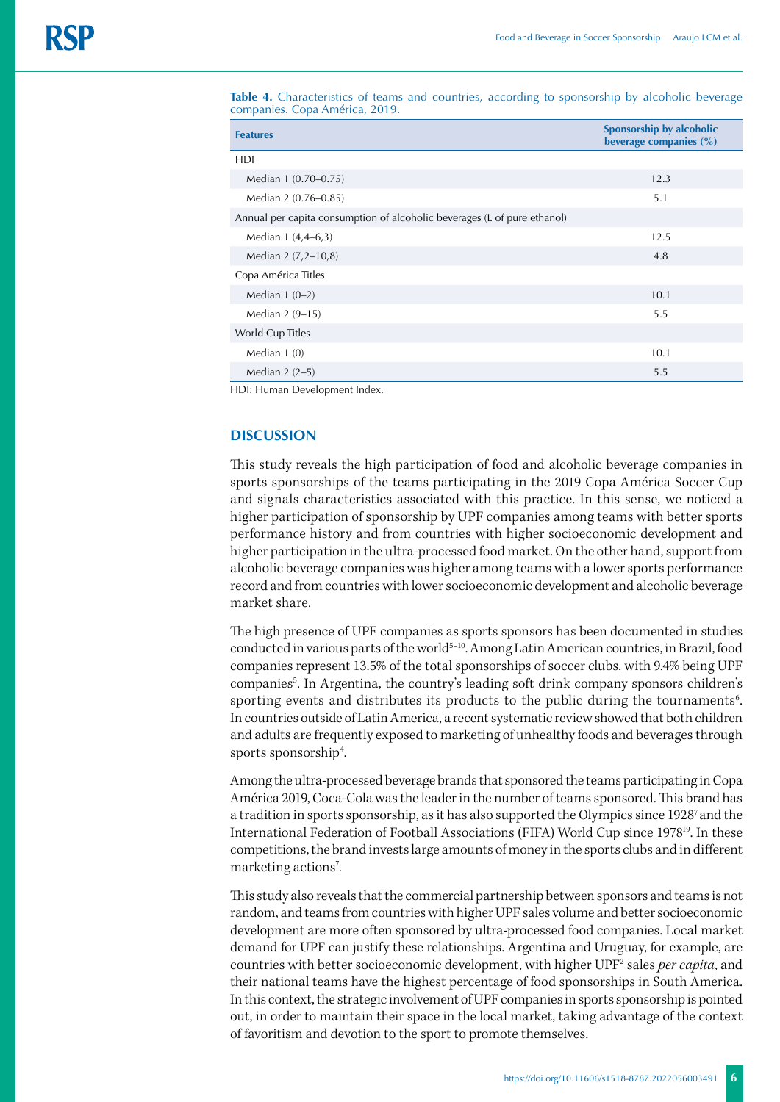**Table 4.** Characteristics of teams and countries, according to sponsorship by alcoholic beverage companies. Copa América, 2019.

| <b>Features</b>                                                          | Sponsorship by alcoholic<br>beverage companies (%) |
|--------------------------------------------------------------------------|----------------------------------------------------|
| <b>HDI</b>                                                               |                                                    |
| Median 1 (0.70-0.75)                                                     | 12.3                                               |
| Median 2 (0.76-0.85)                                                     | 5.1                                                |
| Annual per capita consumption of alcoholic beverages (L of pure ethanol) |                                                    |
| Median 1 (4,4–6,3)                                                       | 12.5                                               |
| Median 2 (7,2-10,8)                                                      | 4.8                                                |
| Copa América Titles                                                      |                                                    |
| Median $1(0-2)$                                                          | 10.1                                               |
| Median 2 (9-15)                                                          | 5.5                                                |
| World Cup Titles                                                         |                                                    |
| Median $1(0)$                                                            | 10.1                                               |
| Median $2(2-5)$                                                          | 5.5                                                |

HDI: Human Development Index.

### **DISCUSSION**

This study reveals the high participation of food and alcoholic beverage companies in sports sponsorships of the teams participating in the 2019 Copa América Soccer Cup and signals characteristics associated with this practice. In this sense, we noticed a higher participation of sponsorship by UPF companies among teams with better sports performance history and from countries with higher socioeconomic development and higher participation in the ultra-processed food market. On the other hand, support from alcoholic beverage companies was higher among teams with a lower sports performance record and from countries with lower socioeconomic development and alcoholic beverage market share.

The high presence of UPF companies as sports sponsors has been documented in studies conducted in various parts of the world<sup>5-10</sup>. Among Latin American countries, in Brazil, food companies represent 13.5% of the total sponsorships of soccer clubs, with 9.4% being UPF companies<sup>5</sup>. In Argentina, the country's leading soft drink company sponsors children's sporting events and distributes its products to the public during the tournaments $6$ . In countries outside of Latin America, a recent systematic review showed that both children and adults are frequently exposed to marketing of unhealthy foods and beverages through sports sponsorship<sup>4</sup>. .

Among the ultra-processed beverage brands that sponsored the teams participating in Copa América 2019, Coca-Cola was the leader in the number of teams sponsored. This brand has a tradition in sports sponsorship, as it has also supported the Olympics since 19287 and the International Federation of Football Associations (FIFA) World Cup since 1978<sup>19</sup>. In these competitions, the brand invests large amounts of money in the sports clubs and in different marketing actions<sup>7</sup>. .

This study also reveals that the commercial partnership between sponsors and teams is not random, and teams from countries with higher UPF sales volume and better socioeconomic development are more often sponsored by ultra-processed food companies. Local market demand for UPF can justify these relationships. Argentina and Uruguay, for example, are countries with better socioeconomic development, with higher UPF2 sales *per capita*, and their national teams have the highest percentage of food sponsorships in South America. In this context, the strategic involvement of UPF companies in sports sponsorship is pointed out, in order to maintain their space in the local market, taking advantage of the context of favoritism and devotion to the sport to promote themselves.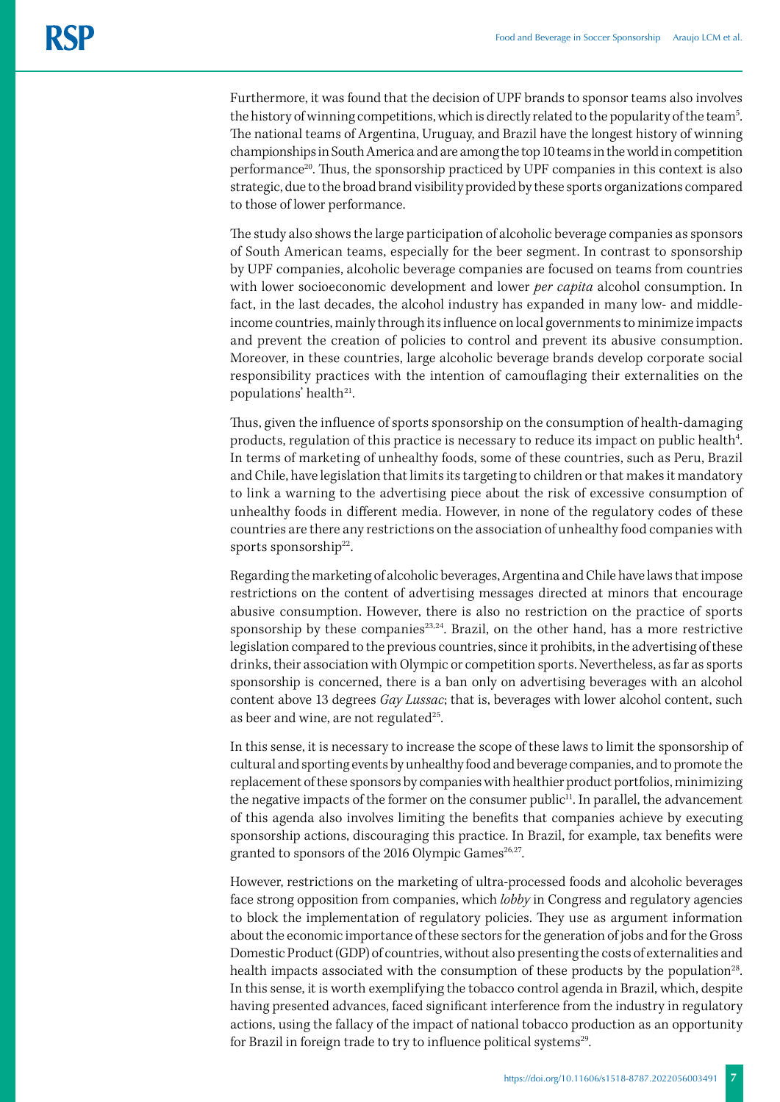Furthermore, it was found that the decision of UPF brands to sponsor teams also involves the history of winning competitions, which is directly related to the popularity of the team<sup>5</sup>. The national teams of Argentina, Uruguay, and Brazil have the longest history of winning championships in South America and are among the top 10 teams in the world in competition performance<sup>20</sup>. Thus, the sponsorship practiced by UPF companies in this context is also strategic, due to the broad brand visibility provided by these sports organizations compared to those of lower performance.

The study also shows the large participation of alcoholic beverage companies as sponsors of South American teams, especially for the beer segment. In contrast to sponsorship by UPF companies, alcoholic beverage companies are focused on teams from countries with lower socioeconomic development and lower *per capita* alcohol consumption. In fact, in the last decades, the alcohol industry has expanded in many low- and middleincome countries, mainly through its influence on local governments to minimize impacts and prevent the creation of policies to control and prevent its abusive consumption. Moreover, in these countries, large alcoholic beverage brands develop corporate social responsibility practices with the intention of camouflaging their externalities on the populations' health $21$ .

Thus, given the influence of sports sponsorship on the consumption of health-damaging products, regulation of this practice is necessary to reduce its impact on public health<sup>4</sup>. In terms of marketing of unhealthy foods, some of these countries, such as Peru, Brazil and Chile, have legislation that limits its targeting to children or that makes it mandatory to link a warning to the advertising piece about the risk of excessive consumption of unhealthy foods in different media. However, in none of the regulatory codes of these countries are there any restrictions on the association of unhealthy food companies with sports sponsorship<sup>22</sup>.

Regarding the marketing of alcoholic beverages, Argentina and Chile have laws that impose restrictions on the content of advertising messages directed at minors that encourage abusive consumption. However, there is also no restriction on the practice of sports sponsorship by these companies $^{23,24}$ . Brazil, on the other hand, has a more restrictive legislation compared to the previous countries, since it prohibits, in the advertising of these drinks, their association with Olympic or competition sports. Nevertheless, as far as sports sponsorship is concerned, there is a ban only on advertising beverages with an alcohol content above 13 degrees *Gay Lussac*; that is, beverages with lower alcohol content, such as beer and wine, are not regulated $25$ .

In this sense, it is necessary to increase the scope of these laws to limit the sponsorship of cultural and sporting events by unhealthy food and beverage companies, and to promote the replacement of these sponsors by companies with healthier product portfolios, minimizing the negative impacts of the former on the consumer public<sup>11</sup>. In parallel, the advancement of this agenda also involves limiting the benefits that companies achieve by executing sponsorship actions, discouraging this practice. In Brazil, for example, tax benefits were granted to sponsors of the 2016 Olympic Games<sup>26,27</sup>.

However, restrictions on the marketing of ultra-processed foods and alcoholic beverages face strong opposition from companies, which *lobby* in Congress and regulatory agencies to block the implementation of regulatory policies. They use as argument information about the economic importance of these sectors for the generation of jobs and for the Gross Domestic Product (GDP) of countries, without also presenting the costs of externalities and health impacts associated with the consumption of these products by the population<sup>28</sup>. In this sense, it is worth exemplifying the tobacco control agenda in Brazil, which, despite having presented advances, faced significant interference from the industry in regulatory actions, using the fallacy of the impact of national tobacco production as an opportunity for Brazil in foreign trade to try to influence political systems<sup>29</sup>.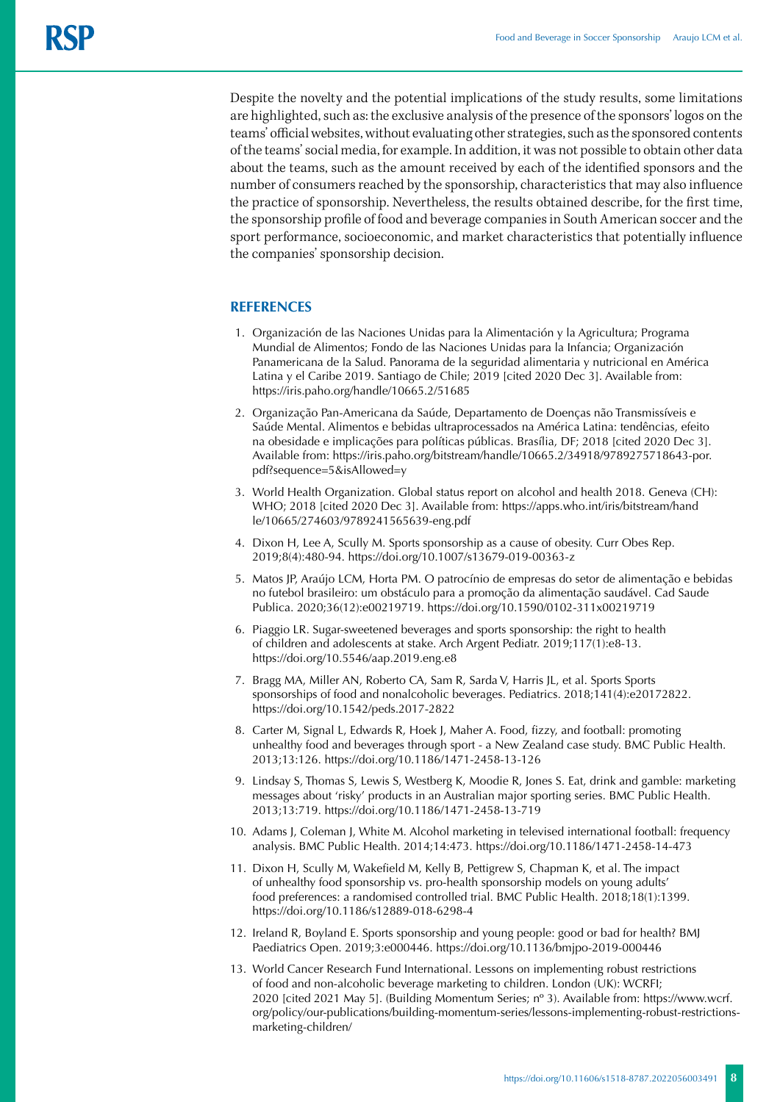Despite the novelty and the potential implications of the study results, some limitations are highlighted, such as: the exclusive analysis of the presence of the sponsors' logos on the teams' official websites, without evaluating other strategies, such as the sponsored contents of the teams' social media, for example. In addition, it was not possible to obtain other data about the teams, such as the amount received by each of the identified sponsors and the number of consumers reached by the sponsorship, characteristics that may also influence the practice of sponsorship. Nevertheless, the results obtained describe, for the first time, the sponsorship profile of food and beverage companies in South American soccer and the sport performance, socioeconomic, and market characteristics that potentially influence the companies' sponsorship decision.

## **REFERENCES**

- 1. [Organización de las Naciones Unidas para la Alimentación y la Agricultura](https://iris.paho.org/browse?value=Organizaci%C3%B3n de las Naciones Unidas para la Alimentaci%C3%B3n y la Agricultura&type=author); [Programa](https://iris.paho.org/browse?value=Programa Mundial de Alimentos&type=author)  [Mundial de Alimentos](https://iris.paho.org/browse?value=Programa Mundial de Alimentos&type=author); [Fondo de las Naciones Unidas para la Infancia](https://iris.paho.org/browse?value=Fondo de las Naciones Unidas para la Infancia&type=author); Organización Panamericana de la Salud. Panorama de la seguridad alimentaria y nutricional en América Latina y el Caribe 2019. Santiago de Chile; 2019 [cited 2020 Dec 3]. Available from: https://iris.paho.org/handle/10665.2/51685
- 2. Organização Pan-Americana da Saúde, Departamento de Doenças não Transmissíveis e Saúde Mental. Alimentos e bebidas ultraprocessados na América Latina: tendências, efeito na obesidade e implicações para políticas públicas. Brasília, DF; 2018 [cited 2020 Dec 3]. Available from: https://iris.paho.org/bitstream/handle/10665.2/34918/9789275718643-por. pdf?sequence=5&isAllowed=y
- 3. World Health Organization. Global status report on alcohol and health 2018. Geneva (CH): WHO; 2018 [cited 2020 Dec 3]. Available from: [https://apps.who.int/iris/bitstream/hand](https://apps.who.int/iris/bitstream/handle/10665/274603/9789241565639-eng.pdf) [le/10665/274603/9789241565639-eng.pdf](https://apps.who.int/iris/bitstream/handle/10665/274603/9789241565639-eng.pdf)
- 4. Dixon H, Lee A, Scully M. Sports sponsorship as a cause of obesity. Curr Obes Rep. 2019;8(4):480-94. <https://doi.org/10.1007/s13679-019-00363-z>
- 5. Matos JP, Araújo LCM, Horta PM. O patrocínio de empresas do setor de alimentação e bebidas no futebol brasileiro: um obstáculo para a promoção da alimentação saudável. Cad Saude Publica. 2020;36(12):e00219719.<https://doi.org/10.1590/0102-311x00219719>
- 6. Piaggio LR. Sugar-sweetened beverages and sports sponsorship: the right to health of children and adolescents at stake. Arch Argent Pediatr. 2019;117(1):e8-13. https://doi.org/10.5546/aap.2019.eng.e8
- 7. Bragg MA, Miller AN, Roberto CA, Sam R, Sarda V, Harris JL, et al. Sports Sports sponsorships of food and nonalcoholic beverages. Pediatrics. 2018;141(4):e20172822. <https://doi.org/10.1542/peds.2017-2822>
- 8. Carter M, Signal L, Edwards R, Hoek J, Maher A. Food, fizzy, and football: promoting unhealthy food and beverages through sport - a New Zealand case study. BMC Public Health. 2013;13:126. https://doi.org/10.1186/1471-2458-13-126
- 9. Lindsay S, Thomas S, Lewis S, Westberg K, Moodie R, Jones S. Eat, drink and gamble: marketing messages about 'risky' products in an Australian major sporting series. BMC Public Health. 2013;13:719. https://doi.org/10.1186/1471-2458-13-719
- 10. Adams J, Coleman J, White M. Alcohol marketing in televised international football: frequency analysis. BMC Public Health. 2014;14:473.<https://doi.org/10.1186/1471-2458-14-473>
- 11. Dixon H, Scully M, Wakefield M, Kelly B, Pettigrew S, Chapman K, et al. The impact of unhealthy food sponsorship vs. pro-health sponsorship models on young adults' food preferences: a randomised controlled trial. BMC Public Health. 2018;18(1):1399. https://doi.org/10.1186/s12889-018-6298-4
- 12. Ireland R, Boyland E. Sports sponsorship and young people: good or bad for health? BMJ Paediatrics Open. 2019;3:e000446. [https://doi.org/10.1136/bmjpo-2019-000446](about:blank)
- 13. World Cancer Research Fund International. Lessons on implementing robust restrictions of food and non-alcoholic beverage marketing to children. London (UK): WCRFI; 2020 [cited 2021 May 5]. (Building Momentum Series; nº 3). Available from: https://www.wcrf. org/policy/our-publications/building-momentum-series/lessons-implementing-robust-restrictionsmarketing-children/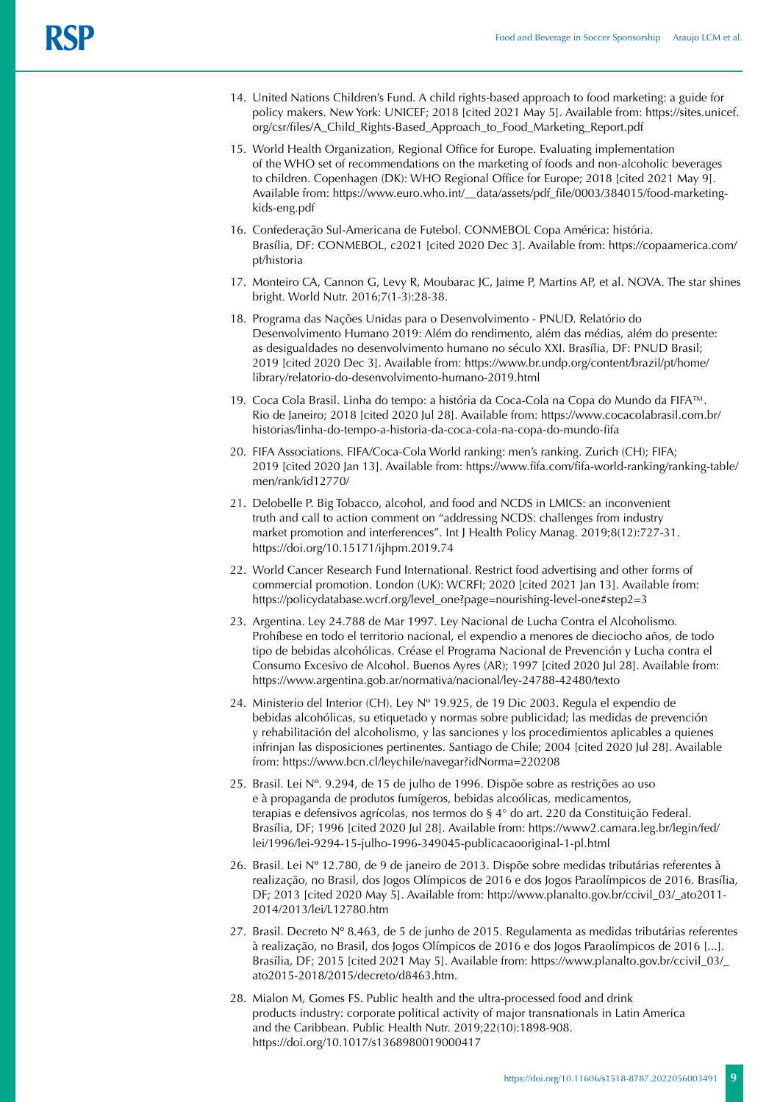- 14. United Nations Children's Fund. A child rights-based approach to food marketing: a guide for policy makers. New York: UNICEF; 2018 [cited 2021 May 5]. Available from: [https://sites.unicef.](https://sites.unicef.org/csr/files/A_Child_Rights-Based_Approach_to_Food_Marketing_Report.pdf) [org/csr/files/A\\_Child\\_Rights-Based\\_Approach\\_to\\_Food\\_Marketing\\_Report.pdf](https://sites.unicef.org/csr/files/A_Child_Rights-Based_Approach_to_Food_Marketing_Report.pdf)
- 15. World Health Organization, Regional Office for Europe. Evaluating implementation of the WHO set of recommendations on the marketing of foods and non-alcoholic beverages to children. Copenhagen (DK): WHO Regional Office for Europe; 2018 [cited 2021 May 9]. Available from: [https://www.euro.who.int/\\_\\_data/assets/pdf\\_file/0003/384015/food-marketing](https://www.euro.who.int/__data/assets/pdf_file/0003/384015/food-marketing-kids-eng.pdf)[kids-eng.pdf](https://www.euro.who.int/__data/assets/pdf_file/0003/384015/food-marketing-kids-eng.pdf)
- 16. Confederação Sul-Americana de Futebol. CONMEBOL Copa América: história. Brasília, DF: CONMEBOL, c2021 [cited 2020 Dec 3]. Available from: https://copaamerica.com/ pt/historia
- 17. Monteiro CA, Cannon G, Levy R, Moubarac JC, Jaime P, Martins AP, et al. NOVA. The star shines bright. World Nutr. 2016;7(1-3):28-38.
- 18. Programa das Nações Unidas para o Desenvolvimento PNUD. Relatório do Desenvolvimento Humano 2019: Além do rendimento, além das médias, além do presente: as desigualdades no desenvolvimento humano no século XXI. Brasília, DF: PNUD Brasil; 2019 [cited 2020 Dec 3]. Available from: [https://www.br.undp.org/content/brazil/pt/home/](https://www.br.undp.org/content/brazil/pt/home/library/relatorio-do-desenvolvimento-humano-2019.html) [library/relatorio-do-desenvolvimento-humano-2019.html](https://www.br.undp.org/content/brazil/pt/home/library/relatorio-do-desenvolvimento-humano-2019.html)
- 19. Coca Cola Brasil. Linha do tempo: a história da Coca-Cola na Copa do Mundo da FIFA™. Rio de Janeiro; 2018 [cited 2020 Jul 28]. Available from: [https://www.cocacolabrasil.com.br/](https://www.cocacolabrasil.com.br/historias/linha-do-tempo-a-historia-da-coca-cola-na-copa-do-mundo-fifa) [historias/linha-do-tempo-a-historia-da-coca-cola-na-copa-do-mundo-fifa](https://www.cocacolabrasil.com.br/historias/linha-do-tempo-a-historia-da-coca-cola-na-copa-do-mundo-fifa)
- 20. FIFA Associations. FIFA/Coca-Cola World ranking: men's ranking. Zurich (CH); FIFA; 2019 [cited 2020 Jan 13]. Available from: [https://www.fifa.com/fifa-world-ranking/ranking-table/](https://www.fifa.com/fifa-world-ranking/ranking-table/men/rank/id12770/) [men/rank/id12770/](https://www.fifa.com/fifa-world-ranking/ranking-table/men/rank/id12770/)
- 21. Delobelle P. Big Tobacco, alcohol, and food and NCDS in LMICS: an inconvenient truth and call to action comment on "addressing NCDS: challenges from industry market promotion and interferences". Int J Health Policy Manag. 2019;8(12):727-31. <https://doi.org/10.15171/ijhpm.2019.74>
- 22. World Cancer Research Fund International. Restrict food advertising and other forms of commercial promotion. London (UK): WCRFI; 2020 [cited 2021 Jan 13]. Available from: [https://policydatabase.wcrf.org/level\\_one?page=nourishing-level-one#step2=3](https://policydatabase.wcrf.org/level_one?page=nourishing-level-one#step2=3)
- 23. Argentina. Ley 24.788 de Mar 1997. Ley Nacional de Lucha Contra el Alcoholismo. Prohíbese en todo el territorio nacional, el expendio a menores de dieciocho años, de todo tipo de bebidas alcohólicas. Créase el Programa Nacional de Prevención y Lucha contra el Consumo Excesivo de Alcohol. Buenos Ayres (AR); 1997 [cited 2020 Jul 28]. Available from: <https://www.argentina.gob.ar/normativa/nacional/ley-24788-42480/texto>
- 24. Ministerio del Interior (CH). Ley Nº 19.925, de 19 Dic 2003. Regula el expendio de bebidas alcohólicas, su etiquetado y normas sobre publicidad; las medidas de prevención y rehabilitación del alcoholismo, y las sanciones y los procedimientos aplicables a quienes infrinjan las disposiciones pertinentes. Santiago de Chile; 2004 [cited 2020 Jul 28]. Available from: https://www.bcn.cl/leychile/navegar?idNorma=220208
- 25. Brasil. Lei Nº. 9.294, de 15 de julho de 1996. Dispõe sobre as restrições ao uso e à propaganda de produtos fumígeros, bebidas alcoólicas, medicamentos, terapias e defensivos agrícolas, nos termos do § 4° do art. 220 da Constituição Federal. Brasília, DF; 1996 [cited 2020 Jul 28]. Available from: [https://www2.camara.leg.br/legin/fed/](https://www2.camara.leg.br/legin/fed/lei/1996/lei-9294-15-julho-1996-349045-publicacaooriginal-1-pl.html) [lei/1996/lei-9294-15-julho-1996-349045-publicacaooriginal-1-pl.html](https://www2.camara.leg.br/legin/fed/lei/1996/lei-9294-15-julho-1996-349045-publicacaooriginal-1-pl.html)
- 26. Brasil. Lei Nº 12.780, de 9 de janeiro de 2013. Dispõe sobre medidas tributárias referentes à realização, no Brasil, dos Jogos Olímpicos de 2016 e dos Jogos Paraolímpicos de 2016. Brasília, DF; 2013 [cited 2020 May 5]. Available from: http://www.planalto.gov.br/ccivil\_03/\_ato2011- 2014/2013/lei/L12780.htm
- 27. Brasil. Decreto Nº 8.463, de 5 de junho de 2015. Regulamenta as medidas tributárias referentes à realização, no Brasil, dos Jogos Olímpicos de 2016 e dos Jogos Paraolímpicos de 2016 [...]. Brasília, DF; 2015 [cited 2021 May 5]. Available from: [https://www.planalto.gov.br/ccivil\\_03/\\_](https://www.planalto.gov.br/ccivil_03/_ato2015-2018/2015/decreto/d8463.htm) [ato2015-2018/2015/decreto/d8463.htm.](https://www.planalto.gov.br/ccivil_03/_ato2015-2018/2015/decreto/d8463.htm)
- 28. Mialon M, Gomes FS. Public health and the ultra-processed food and drink products industry: corporate political activity of major transnationals in Latin America and the Caribbean. Public Health Nutr. 2019;22(10):1898-908. https://doi.org/10.1017/s1368980019000417